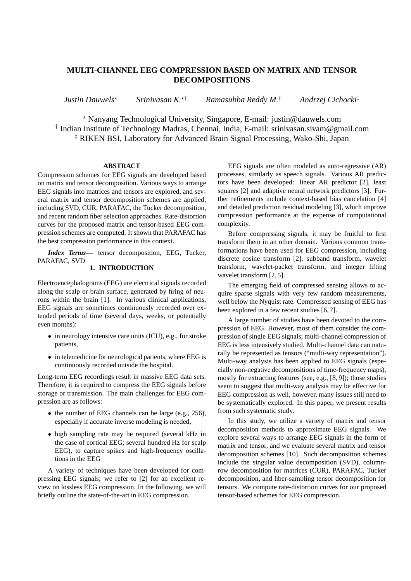# **MULTI-CHANNEL EEG COMPRESSION BASED ON MATRIX AND TENSOR DECOMPOSITIONS**

*Justin Dauwels*<sup>⋆</sup> *Srinivasan K.*<sup>⋆</sup>† *Ramasubba Reddy M.*† *Andrzej Cichocki*‡

<sup>⋆</sup> Nanyang Technological University, Singapore, E-mail: justin@dauwels.com † Indian Institute of Technology Madras, Chennai, India, E-mail: srinivasan.sivam@gmail.com ‡ RIKEN BSI, Laboratory for Advanced Brain Signal Processing, Wako-Shi, Japan

# **ABSTRACT**

Compression schemes for EEG signals are developed based on matrix and tensor decomposition. Various ways to arrange EEG signals into matrices and tensors are explored, and several matrix and tensor decomposition schemes are applied, including SVD, CUR, PARAFAC, the Tucker decomposition, and recent random fiber selection approaches. Rate-distortion curves for the proposed matrix and tensor-based EEG compression schemes are computed. It shown that PARAFAC has the best compression performance in this context.

*Index Terms***—** tensor decomposition, EEG, Tucker, PARAFAC, SVD

# **1. INTRODUCTION**

Electroencephalograms (EEG) are electrical signals recorded along the scalp or brain surface, generated by firing of neurons within the brain [1]. In various clinical applications, EEG signals are sometimes continuously recorded over extended periods of time (several days, weeks, or potentially even months):

- in neurology intensive care units (ICU), e.g., for stroke patients,
- in telemedicine for neurological patients, where EEG is continuously recorded outside the hospital.

Long-term EEG recordings result in massive EEG data sets. Therefore, it is required to compress the EEG signals before storage or transmission. The main challenges for EEG compression are as follows:

- the number of EEG channels can be large (e.g., 256), especially if accurate inverse modeling is needed,
- high sampling rate may be required (several kHz in the case of cortical EEG; several hundred Hz for scalp EEG), to capture spikes and high-frequency oscillations in the EEG

A variety of techniques have been developed for compressing EEG signals; we refer to [2] for an excellent review on lossless EEG compression. In the following, we will briefly outline the state-of-the-art in EEG compression.

EEG signals are often modeled as auto-regressive (AR) processes, similarly as speech signals. Various AR predictors have been developed: linear AR predictor [2], least squares [2] and adaptive neural network predictors [3]. Further refinements include context-based bias cancelation [4] and detailed prediction residual modeling [3], which improve compression performance at the expense of computational complexity.

Before compressing signals, it may be fruitful to first transform them in an other domain. Various common transformations have been used for EEG compression, including discrete cosine transform [2], subband transform, wavelet transform, wavelet-packet transform, and integer lifting wavelet transform [2, 5].

The emerging field of compressed sensing allows to acquire sparse signals with very few random measurements, well below the Nyquist rate. Compressed sensing of EEG has been explored in a few recent studies [6, 7].

A large number of studies have been devoted to the compression of EEG. However, most of them consider the compression of single EEG signals; multi-channel compression of EEG is less intensively studied. Multi-channel data can naturally be represented as tensors ("multi-way representation"). Multi-way analysis has been applied to EEG signals (especially non-negative decompositions of time-frequency maps), mostly for extracting features (see, e.g., [8, 9]); those studies seem to suggest that multi-way analysis may be effective for EEG compression as well, however, many issues still need to be systematically explored. In this paper, we present results from such systematic study.

In this study, we utilize a variety of matrix and tensor decomposition methods to approximate EEG signals. We explore several ways to arrange EEG signals in the form of matrix and tensor, and we evaluate several matrix and tensor decomposition schemes [10]. Such decomposition schemes include the singular value decomposition (SVD), columnrow decomposition for matrices (CUR), PARAFAC, Tucker decomposition, and fiber-sampling tensor decomposition for tensors. We compute rate-distortion curves for our proposed tensor-based schemes for EEG compression.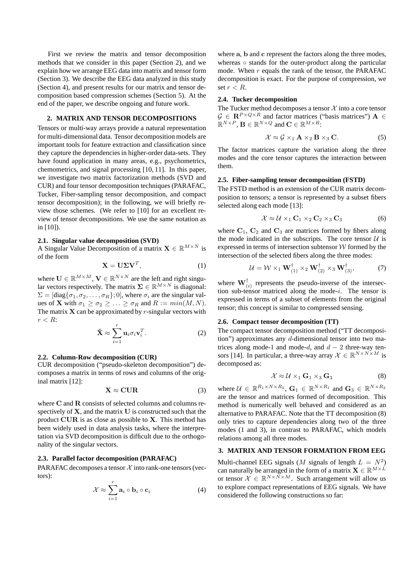First we review the matrix and tensor decomposition methods that we consider in this paper (Section 2), and we explain how we arrange EEG data into matrix and tensor form (Section 3). We describe the EEG data analyzed in this study (Section 4), and present results for our matrix and tensor decomposition based compression schemes (Section 5). At the end of the paper, we describe ongoing and future work.

# **2. MATRIX AND TENSOR DECOMPOSITIONS**

Tensors or multi-way arrays provide a natural representation for multi-dimensional data. Tensor decomposition models are important tools for feature extraction and classification since they capture the dependencies in higher-order data-sets. They have found application in many areas, e.g., psychometrics, chemometrics, and signal processing [10, 11]. In this paper, we investigate two matrix factorization methods (SVD and CUR) and four tensor decomposition techniques (PARAFAC, Tucker, Fiber-sampling tensor decomposition, and compact tensor decomposition); in the following, we will briefly review those schemes. (We refer to [10] for an excellent review of tensor decompositions. We use the same notation as in [10]).

#### **2.1. Singular value decomposition (SVD)**

A Singular Value Decomposition of a matrix  $\mathbf{X} \in \mathbb{R}^{M \times N}$  is of the form

$$
\mathbf{X} = \mathbf{U} \Sigma \mathbf{V}^T, \tag{1}
$$

where  $\mathbf{U} \in \mathbb{R}^{M \times M}$ ,  $\mathbf{V} \in \mathbb{R}^{N \times N}$  are the left and right singular vectors respectively. The matrix  $\Sigma \in \mathbb{R}^{M \times N}$  is diagonal:  $\Sigma = [\text{diag}\{\sigma_1, \sigma_2, \dots, \sigma_R\}; 0]$ , where  $\sigma_i$  are the singular values of **X** with  $\sigma_1 \geq \sigma_2 \geq \ldots \geq \sigma_R$  and  $R := min(M, N)$ . The matrix  $X$  can be approximated by  $r$ -singular vectors with  $r < R$ :

$$
\hat{\mathbf{X}} \approx \sum_{i=1}^{r} \mathbf{u}_i \sigma_i \mathbf{v}_i^T.
$$
 (2)

#### **2.2. Column-Row decomposition (CUR)**

CUR decomposition ("pseudo-skeleton decomposition") decomposes a matrix in terms of rows and columns of the original matrix [12]:

$$
X \approx CUR \tag{3}
$$

where C and R consists of selected columns and columns respectively of  $X$ , and the matrix  $U$  is constructed such that the product CUR is as close as possible to X. This method has been widely used in data analysis tasks, where the interpretation via SVD decomposition is difficult due to the orthogonality of the singular vectors.

### **2.3. Parallel factor decomposition (PARAFAC)**

PARAFAC decomposes a tensor  $\mathcal X$  into rank-one tensors (vectors):

$$
\mathcal{X} \approx \sum_{i=1}^{r} \mathbf{a}_i \circ \mathbf{b}_i \circ \mathbf{c}_i
$$
 (4)

where a, b and c represent the factors along the three modes, whereas ∘ stands for the outer-product along the particular mode. When  $r$  equals the rank of the tensor, the PARAFAC decomposition is exact. For the purpose of compression, we set  $r < R$ .

#### **2.4. Tucker decomposition**

The Tucker method decomposes a tensor  $\mathcal X$  into a core tensor  $G \in \mathbb{R}^{P \times Q \times R}$  and factor matrices ("basis matrices")  $\mathbf{A} \in$  $\mathbb{R}^{N\times P}$ ,  $\mathbf{B}\in\mathbb{R}^{N\times Q}$  and  $\mathbf{C}\in\mathbb{R}^{M\times R}$ :

$$
\mathcal{X} \approx \mathcal{G} \times_1 \mathbf{A} \times_2 \mathbf{B} \times_3 \mathbf{C}.\tag{5}
$$

The factor matrices capture the variation along the three modes and the core tensor captures the interaction between them.

### **2.5. Fiber-sampling tensor decomposition (FSTD)**

The FSTD method is an extension of the CUR matrix decomposition to tensors; a tensor is represented by a subset fibers selected along each mode [13]:

$$
\mathcal{X} \approx \mathcal{U} \times_1 \mathbf{C}_1 \times_2 \mathbf{C}_2 \times_3 \mathbf{C}_3 \tag{6}
$$

where  $C_1$ ,  $C_2$  and  $C_3$  are matrices formed by fibers along the mode indicated in the subscripts. The core tensor  $U$  is expressed in terms of intersection subtensor  $W$  formed by the intersection of the selected fibers along the three modes:

$$
\mathcal{U} = \mathcal{W} \times_1 \mathbf{W}_{(1)}^{\dagger} \times_2 \mathbf{W}_{(2)}^{\dagger} \times_3 \mathbf{W}_{(3)}^{\dagger}, \tag{7}
$$

where  $\mathbf{W}_{(i)}^{\dagger}$  represents the pseudo-inverse of the intersection sub-tensor matriced along the mode-i. The tensor is expressed in terms of a subset of elements from the original tensor; this concept is similar to compressed sensing.

#### **2.6. Compact tensor decomposition (TT)**

The compact tensor decomposition method ("TT decomposition") approximates any  $d$ -dimensional tensor into two matrices along mode-1 and mode-d, and  $d - 2$  three-way tensors [14]. In particular, a three-way array  $\mathcal{X} \in \mathbb{R}^{N \times N \times M}$  is decomposed as:

$$
\mathcal{X} \approx \mathcal{U} \times_1 \mathbf{G}_1 \times_3 \mathbf{G}_3 \tag{8}
$$

where  $U \in \mathbb{R}^{R_1 \times N \times R_2}$ ,  $G_1 \in \mathbb{R}^{N \times R_1}$  and  $G_3 \in \mathbb{R}^{N \times R_3}$ are the tensor and matrices formed of decomposition. This method is numerically well behaved and considered as an alternative to PARAFAC. Note that the TT decomposition (8) only tries to capture dependencies along two of the three modes (1 and 3), in contrast to PARAFAC, which models relations among all three modes.

## **3. MATRIX AND TENSOR FORMATION FROM EEG**

Multi-channel EEG signals (*M* signals of length  $L = N^2$ ) can naturally be arranged in the form of a matrix  $\mathbf{X} \in \mathbb{R}^{M \times L}$ or tensor  $\mathcal{X} \in \mathbb{R}^{N \times \bar{N} \times M}$ . Such arrangement will allow us to explore compact representations of EEG signals. We have considered the following constructions so far: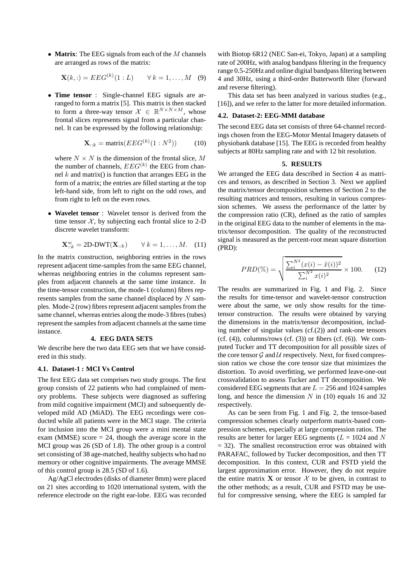• **Matrix**: The EEG signals from each of the M channels are arranged as rows of the matrix:

$$
\mathbf{X}(k, :) = EEG^{(k)}(1:L) \qquad \forall k = 1, \dots, M \quad (9)
$$

• **Time tensor** : Single-channel EEG signals are arranged to form a matrix [5]. This matrix is then stacked to form a three-way tensor  $\mathcal{X} \in \mathbb{R}^{N \times N \times M}$ , whose frontal slices represents signal from a particular channel. It can be expressed by the following relationship:

$$
\mathbf{X}_{::k} = \text{matrix}(EEG^{(k)}(1:N^2))\tag{10}
$$

where  $N \times N$  is the dimension of the frontal slice, M the number of channels,  $EEG^{(k)}$  the EEG from channel  $k$  and matrix() is function that arranges EEG in the form of a matrix; the entries are filled starting at the top left-hand side, from left to right on the odd rows, and from right to left on the even rows.

• **Wavelet tensor** : Wavelet tensor is derived from the time tensor  $X$ , by subjecting each frontal slice to 2-D discrete wavelet transform:

$$
\mathbf{X}^w_{::k} = 2\mathbf{D}\text{-DWT}(\mathbf{X}_{::k}) \qquad \forall \, k = 1, \dots, M. \quad (11)
$$

In the matrix construction, neighboring entries in the rows represent adjacent time-samples from the same EEG channel, whereas neighboring entries in the columns represent samples from adjacent channels at the same time instance. In the time-tensor construction, the mode-1 (column) fibres represents samples from the same channel displaced by  $N$  samples. Mode-2 (row) fibres represent adjacent samples from the same channel, whereas entries along the mode-3 fibres (tubes) represent the samples from adjacent channels at the same time instance.

## **4. EEG DATA SETS**

We describe here the two data EEG sets that we have considered in this study.

#### **4.1. Dataset-1 : MCI Vs Control**

The first EEG data set comprises two study groups. The first group consists of 22 patients who had complained of memory problems. These subjects were diagnosed as suffering from mild cognitive impairment (MCI) and subsequently developed mild AD (MiAD). The EEG recordings were conducted while all patients were in the MCI stage. The criteria for inclusion into the MCI group were a mini mental state exam (MMSE) score  $= 24$ , though the average score in the MCI group was 26 (SD of 1.8). The other group is a control set consisting of 38 age-matched, healthy subjects who had no memory or other cognitive impairments. The average MMSE of this control group is 28.5 (SD of 1.6).

Ag/AgCl electrodes (disks of diameter 8mm) were placed on 21 sites according to 1020 international system, with the reference electrode on the right ear-lobe. EEG was recorded

with Biotop 6R12 (NEC San-ei, Tokyo, Japan) at a sampling rate of 200Hz, with analog bandpass filtering in the frequency range 0.5-250Hz and online digital bandpass filtering between 4 and 30Hz, using a third-order Butterworth filter (forward and reverse filtering).

This data set has been analyzed in various studies (e.g., [16]), and we refer to the latter for more detailed information.

#### **4.2. Dataset-2: EEG-MMI database**

The second EEG data set consists of three 64-channel recordings chosen from the EEG-Motor Mental Imagery datasets of physiobank database [15]. The EEG is recorded from healthy subjects at 80Hz sampling rate and with 12 bit resolution.

#### **5. RESULTS**

We arranged the EEG data described in Section 4 as matrices and tensors, as described in Section 3. Next we applied the matrix/tensor decomposition schemes of Section 2 to the resulting matrices and tensors, resulting in various compression schemes. We assess the performance of the latter by the compression ratio (CR), defined as the ratio of samples in the original EEG data to the number of elements in the matrix/tensor decomposition. The quality of the reconstructed signal is measured as the percent-root mean square distortion (PRD):

$$
PRD(\%) = \sqrt{\frac{\sum_{i}^{N^2} (x(i) - \tilde{x}(i))^2}{\sum_{i}^{N^2} x(i)^2}} \times 100. \tag{12}
$$

The results are summarized in Fig. 1 and Fig. 2. Since the results for time-tensor and wavelet-tensor construction were about the same, we only show results for the timetensor construction. The results were obtained by varying the dimensions in the matrix/tensor decomposition, including number of singular values (cf.(2)) and rank-one tensors  $(cf. (4))$ , columns/rows  $(cf. (3))$  or fibers  $(cf. (6))$ . We computed Tucker and TT decomposition for all possible sizes of the core tensor  $G$  and  $U$  respectively. Next, for fixed compression ratios we chose the core tensor size that minimizes the distortion. To avoid overfitting, we performed leave-one-out crossvalidation to assess Tucker and TT decomposition. We considered EEG segments that are  $L = 256$  and 1024 samples long, and hence the dimension  $N$  in (10) equals 16 and 32 respectively.

As can be seen from Fig. 1 and Fig. 2, the tensor-based compression schemes clearly outperform matrix-based compression schemes, especially at large compression ratios. The results are better for larger EEG segments ( $L = 1024$  and N  $= 32$ ). The smallest reconstruction error was obtained with PARAFAC, followed by Tucker decomposition, and then TT decomposition. In this context, CUR and FSTD yield the largest approximation error. However, they do not require the entire matrix  $X$  or tensor  $X$  to be given, in contrast to the other methods; as a result, CUR and FSTD may be useful for compressive sensing, where the EEG is sampled far